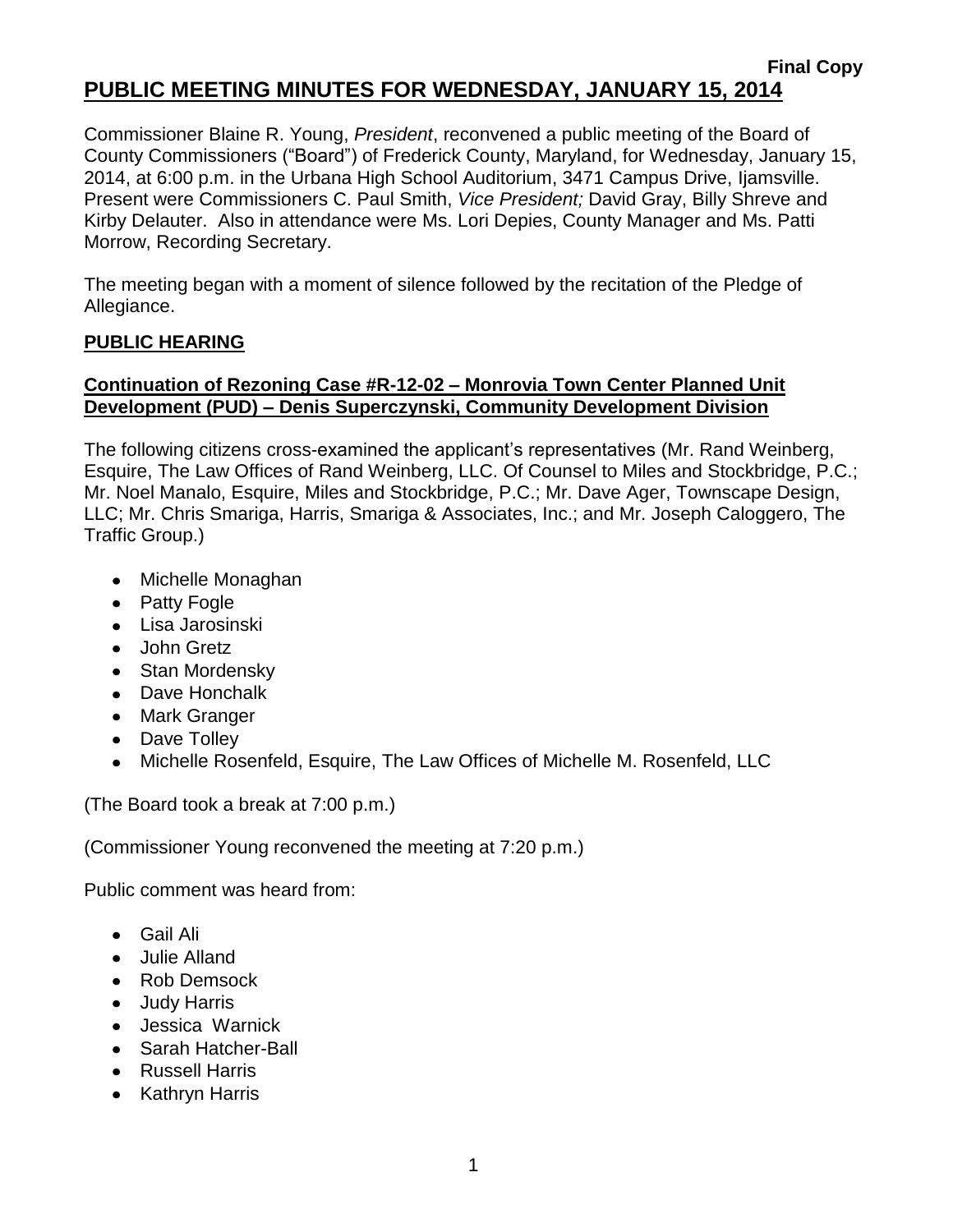### **Final Copy PUBLIC MEETING MINUTES FOR WEDNESDAY, JANUARY 15, 2014**

Commissioner Blaine R. Young, *President*, reconvened a public meeting of the Board of County Commissioners ("Board") of Frederick County, Maryland, for Wednesday, January 15, 2014, at 6:00 p.m. in the Urbana High School Auditorium, 3471 Campus Drive, Ijamsville. Present were Commissioners C. Paul Smith, *Vice President;* David Gray, Billy Shreve and Kirby Delauter. Also in attendance were Ms. Lori Depies, County Manager and Ms. Patti Morrow, Recording Secretary.

The meeting began with a moment of silence followed by the recitation of the Pledge of Allegiance.

### **PUBLIC HEARING**

## **Continuation of Rezoning Case #R-12-02 – Monrovia Town Center Planned Unit Development (PUD) – Denis Superczynski, Community Development Division**

The following citizens cross-examined the applicant's representatives (Mr. Rand Weinberg, Esquire, The Law Offices of Rand Weinberg, LLC. Of Counsel to Miles and Stockbridge, P.C.; Mr. Noel Manalo, Esquire, Miles and Stockbridge, P.C.; Mr. Dave Ager, Townscape Design, LLC; Mr. Chris Smariga, Harris, Smariga & Associates, Inc.; and Mr. Joseph Caloggero, The Traffic Group.)

- Michelle Monaghan
- Patty Fogle
- Lisa Jarosinski
- John Gretz
- Stan Mordensky
- Dave Honchalk
- Mark Granger
- Dave Tolley
- Michelle Rosenfeld, Esquire, The Law Offices of Michelle M. Rosenfeld, LLC

(The Board took a break at 7:00 p.m.)

(Commissioner Young reconvened the meeting at 7:20 p.m.)

Public comment was heard from:

- Gail Ali
- Julie Alland
- Rob Demsock
- Judy Harris
- Jessica Warnick
- Sarah Hatcher-Ball
- Russell Harris
- Kathryn Harris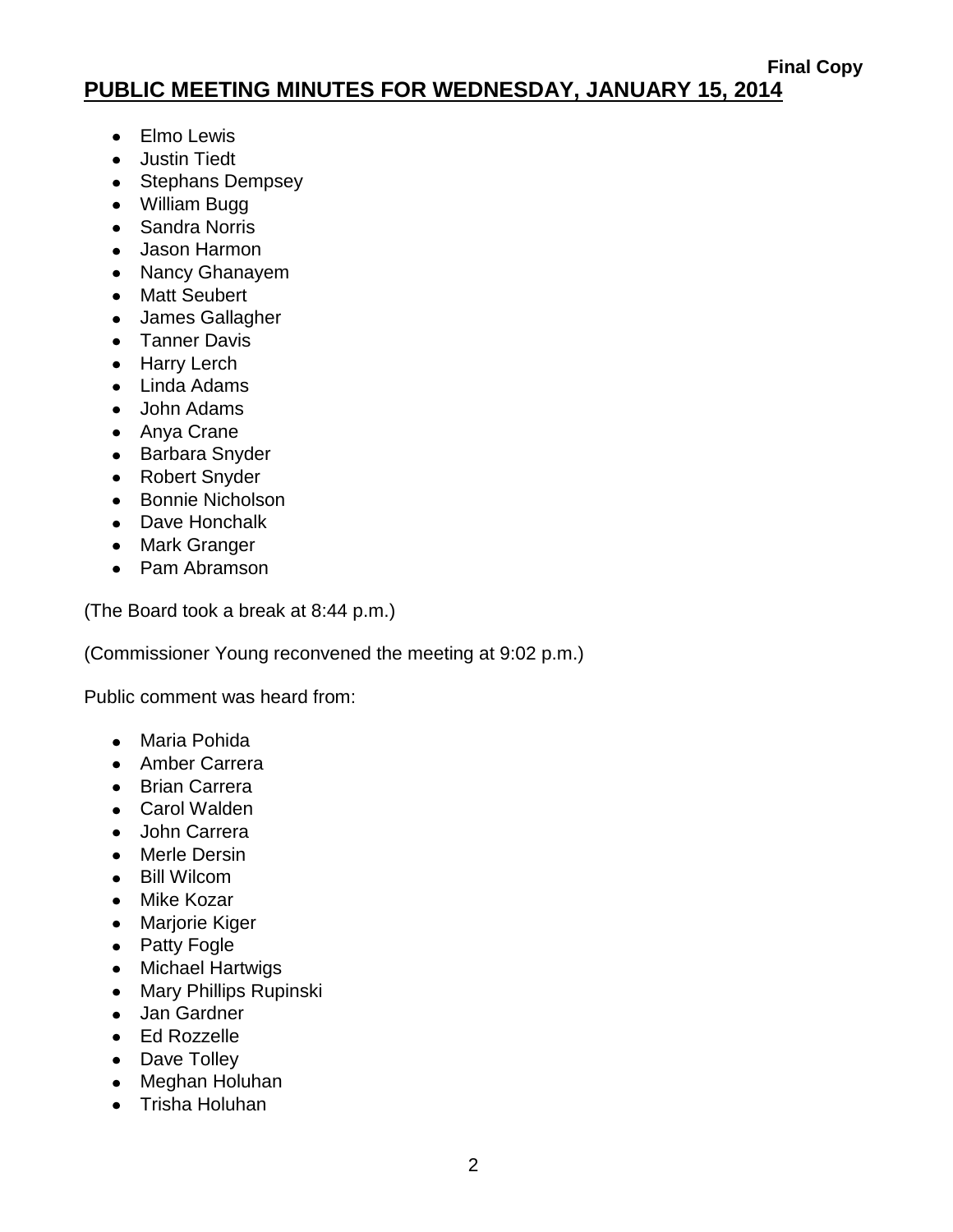# **PUBLIC MEETING MINUTES FOR WEDNESDAY, JANUARY 15, 2014**

- Elmo Lewis
- Justin Tiedt
- Stephans Dempsey
- William Bugg
- Sandra Norris
- Jason Harmon
- Nancy Ghanayem
- Matt Seubert
- James Gallagher
- Tanner Davis
- Harry Lerch
- Linda Adams
- John Adams
- Anya Crane
- Barbara Snyder
- Robert Snyder
- Bonnie Nicholson
- Dave Honchalk
- Mark Granger
- Pam Abramson

(The Board took a break at 8:44 p.m.)

(Commissioner Young reconvened the meeting at 9:02 p.m.)

Public comment was heard from:

- Maria Pohida
- Amber Carrera
- Brian Carrera
- Carol Walden
- John Carrera
- Merle Dersin
- Bill Wilcom
- Mike Kozar
- Marjorie Kiger
- Patty Fogle
- Michael Hartwigs
- Mary Phillips Rupinski
- Jan Gardner
- Ed Rozzelle
- Dave Tolley
- Meghan Holuhan
- Trisha Holuhan